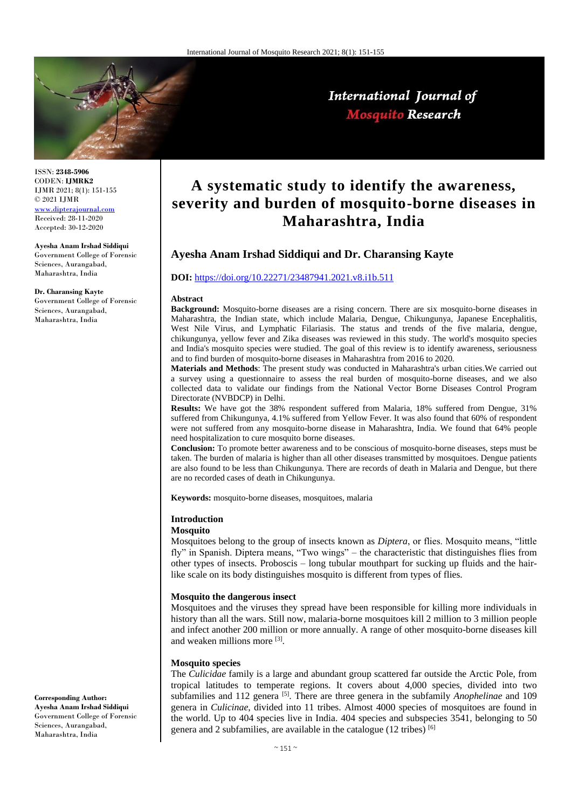

### International Journal of **Mosquito Research**

ISSN: **2348-5906** CODEN: **IJMRK2** IJMR 2021; 8(1): 151-155 © 2021 IJMR <www.dipterajournal.com>

Accepted: 30-12-2020

**Ayesha Anam Irshad Siddiqui**  Government College of Forensic Sciences, Aurangabad, Maharashtra, India

**Dr. Charansing Kayte** Government College of Forensic Sciences, Aurangabad, Maharashtra, India

# Received: 28-11-2020

# **Mosquito species**

The *Culicidae* family is a large and abundant group scattered far outside the Arctic Pole, from tropical latitudes to temperate regions. It covers about 4,000 species, divided into two subfamilies and 112 genera <sup>[5]</sup>. There are three genera in the subfamily *Anophelinae* and 109 genera in *Culicinae*, divided into 11 tribes. Almost 4000 species of mosquitoes are found in the world. Up to 404 species live in India. 404 species and subspecies 3541, belonging to 50 genera and 2 subfamilies, are available in the catalogue (12 tribes) [6]

**Corresponding Author: Ayesha Anam Irshad Siddiqui**  Government College of Forensic Sciences, Aurangabad, Maharashtra, India

## **A systematic study to identify the awareness, severity and burden of mosquito-borne diseases in Maharashtra, India**

#### **Ayesha Anam Irshad Siddiqui and Dr. Charansing Kayte**

#### **DOI:** <https://doi.org/10.22271/23487941.2021.v8.i1b.511>

#### **Abstract**

**Background:** Mosquito-borne diseases are a rising concern. There are six mosquito-borne diseases in Maharashtra, the Indian state, which include Malaria, Dengue, Chikungunya, Japanese Encephalitis, West Nile Virus, and Lymphatic Filariasis. The status and trends of the five malaria, dengue, chikungunya, yellow fever and Zika diseases was reviewed in this study. The world's mosquito species and India's mosquito species were studied. The goal of this review is to identify awareness, seriousness and to find burden of mosquito-borne diseases in Maharashtra from 2016 to 2020.

**Materials and Methods**: The present study was conducted in Maharashtra's urban cities.We carried out a survey using a questionnaire to assess the real burden of mosquito-borne diseases, and we also collected data to validate our findings from the National Vector Borne Diseases Control Program Directorate (NVBDCP) in Delhi.

**Results:** We have got the 38% respondent suffered from Malaria, 18% suffered from Dengue, 31% suffered from Chikungunya, 4.1% suffered from Yellow Fever. It was also found that 60% of respondent were not suffered from any mosquito-borne disease in Maharashtra, India. We found that 64% people need hospitalization to cure mosquito borne diseases.

**Conclusion:** To promote better awareness and to be conscious of mosquito-borne diseases, steps must be taken. The burden of malaria is higher than all other diseases transmitted by mosquitoes. Dengue patients are also found to be less than Chikungunya. There are records of death in Malaria and Dengue, but there are no recorded cases of death in Chikungunya.

**Keywords:** mosquito-borne diseases, mosquitoes, malaria

#### **Introduction**

#### **Mosquito**

Mosquitoes belong to the group of insects known as *Diptera*, or flies. Mosquito means, "little fly" in Spanish. Diptera means, "Two wings" – the characteristic that distinguishes flies from other types of insects. Proboscis – long tubular mouthpart for sucking up fluids and the hairlike scale on its body distinguishes mosquito is different from types of flies.

#### **Mosquito the dangerous insect**

Mosquitoes and the viruses they spread have been responsible for killing more individuals in history than all the wars. Still now, malaria-borne mosquitoes kill 2 million to 3 million people and infect another 200 million or more annually. A range of other mosquito-borne diseases kill and weaken millions more [3].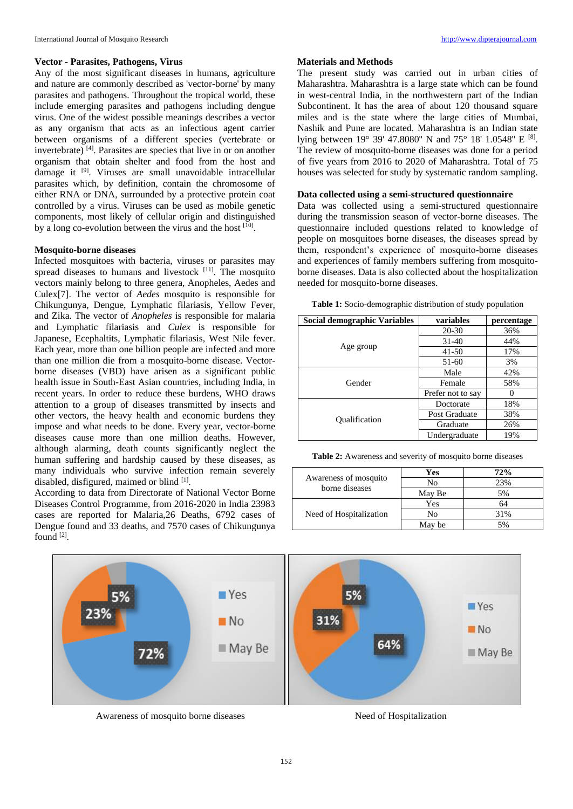#### **Vector - Parasites, Pathogens, Virus**

Any of the most significant diseases in humans, agriculture and nature are commonly described as 'vector-borne' by many parasites and pathogens. Throughout the tropical world, these include emerging parasites and pathogens including dengue virus. One of the widest possible meanings describes a vector as any organism that acts as an infectious agent carrier between organisms of a different species (vertebrate or invertebrate) [4]. Parasites are species that live in or on another organism that obtain shelter and food from the host and damage it [9]. Viruses are small unavoidable intracellular parasites which, by definition, contain the chromosome of either RNA or DNA, surrounded by a protective protein coat controlled by a virus. Viruses can be used as mobile genetic components, most likely of cellular origin and distinguished by a long co-evolution between the virus and the host <sup>[10]</sup>.

#### **Mosquito-borne diseases**

Infected mosquitoes with bacteria, viruses or parasites may spread diseases to humans and livestock [11]. The mosquito vectors mainly belong to three genera, Anopheles, Aedes and Culex[7]. The vector of *Aedes* mosquito is responsible for Chikungunya, Dengue, Lymphatic filariasis, Yellow Fever, and Zika. The vector of *Anopheles* is responsible for malaria and Lymphatic filariasis and *Culex* is responsible for Japanese, Ecephaltits, Lymphatic filariasis, West Nile fever. Each year, more than one billion people are infected and more than one million die from a mosquito-borne disease. Vectorborne diseases (VBD) have arisen as a significant public health issue in South-East Asian countries, including India, in recent years. In order to reduce these burdens, WHO draws attention to a group of diseases transmitted by insects and other vectors, the heavy health and economic burdens they impose and what needs to be done. Every year, vector-borne diseases cause more than one million deaths. However, although alarming, death counts significantly neglect the human suffering and hardship caused by these diseases, as many individuals who survive infection remain severely disabled, disfigured, maimed or blind [1].

According to data from Directorate of National Vector Borne Diseases Control Programme, from 2016-2020 in India 23983 cases are reported for Malaria,26 Deaths, 6792 cases of Dengue found and 33 deaths, and 7570 cases of Chikungunya found [2].

#### **Materials and Methods**

The present study was carried out in urban cities of Maharashtra. Maharashtra is a large state which can be found in west-central India, in the northwestern part of the Indian Subcontinent. It has the area of about 120 thousand square miles and is the state where the large cities of Mumbai, Nashik and Pune are located. Maharashtra is an Indian state lying between 19° 39' 47.8080" N and 75° 18' 1.0548" E <sup>[8]</sup>. The review of mosquito-borne diseases was done for a period of five years from 2016 to 2020 of Maharashtra. Total of 75 houses was selected for study by systematic random sampling.

#### **Data collected using a semi-structured questionnaire**

Data was collected using a semi-structured questionnaire during the transmission season of vector-borne diseases. The questionnaire included questions related to knowledge of people on mosquitoes borne diseases, the diseases spread by them, respondent's experience of mosquito-borne diseases and experiences of family members suffering from mosquitoborne diseases. Data is also collected about the hospitalization needed for mosquito-borne diseases.

| Table 1: Socio-demographic distribution of study population |
|-------------------------------------------------------------|
|-------------------------------------------------------------|

| Social demographic Variables | variables         | percentage |  |  |
|------------------------------|-------------------|------------|--|--|
|                              | 20-30             | 36%        |  |  |
|                              | $31 - 40$         | 44%        |  |  |
| Age group                    | $41 - 50$         | 17%        |  |  |
|                              | 51-60             | 3%         |  |  |
|                              | Male              | 42%        |  |  |
| Gender                       | Female            | 58%        |  |  |
|                              | Prefer not to say |            |  |  |
|                              | Doctorate         | 18%        |  |  |
|                              | Post Graduate     | 38%        |  |  |
| <b>Qualification</b>         | Graduate          | 26%        |  |  |
|                              | Undergraduate     | 19%        |  |  |

**Table 2:** Awareness and severity of mosquito borne diseases

|                                         | Yes    | 72%             |  |  |
|-----------------------------------------|--------|-----------------|--|--|
| Awareness of mosquito<br>borne diseases | No     | 23%             |  |  |
|                                         | May Be | 5%              |  |  |
|                                         | Yes    | 64              |  |  |
| Need of Hospitalization                 | No     | 31%             |  |  |
|                                         | May be | 50 <sub>6</sub> |  |  |



Awareness of mosquito borne diseases Need of Hospitalization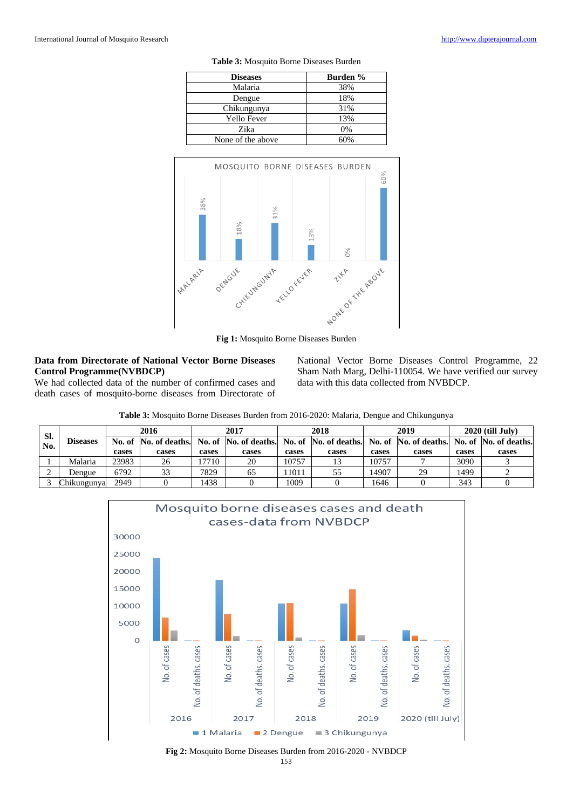| <b>Diseases</b>   | <b>Burden</b> % |  |  |
|-------------------|-----------------|--|--|
| Malaria           | 38%             |  |  |
| Dengue            | 18%             |  |  |
| Chikungunya       | 31%             |  |  |
| Yello Fever       | 13%             |  |  |
| Zika              | 0%              |  |  |
| None of the above | ናበ%             |  |  |

**Table 3:** Mosquito Borne Diseases Burden



#### **Data from Directorate of National Vector Borne Diseases Control Programme(NVBDCP)**

We had collected data of the number of confirmed cases and death cases of mosquito-borne diseases from Directorate of National Vector Borne Diseases Control Programme, 22 Sham Nath Marg, Delhi-110054. We have verified our survey data with this data collected from NVBDCP.

**Table 3:** Mosquito Borne Diseases Burden from 2016-2020: Malaria, Dengue and Chikungunya

| SI.<br>No. | Diseases    | 2016  |                                                                                                               | 2017  |       | 2018  |       | 2019  |       | $2020$ (till July) |       |
|------------|-------------|-------|---------------------------------------------------------------------------------------------------------------|-------|-------|-------|-------|-------|-------|--------------------|-------|
|            |             |       | No. of No. of deaths. No. of No. of deaths. No. of No. of deaths. No. of No. of deaths. No. of No. of deaths. |       |       |       |       |       |       |                    |       |
|            |             | cases | cases                                                                                                         | cases | cases | cases | cases | cases | cases | cases              | cases |
|            | Malaria     | 23983 | 26                                                                                                            | 7710  | 20    | 10757 |       | 10757 |       | 3090               |       |
|            | Dengue      | 6792  |                                                                                                               | 7829  | 65    | 11011 |       | 14907 | 29    | 1499               |       |
|            | Chikungunva | 2949  |                                                                                                               | 1438  |       | 1009  |       | 1646  |       | 343                |       |



**Fig 2:** Mosquito Borne Diseases Burden from 2016-2020 - NVBDCP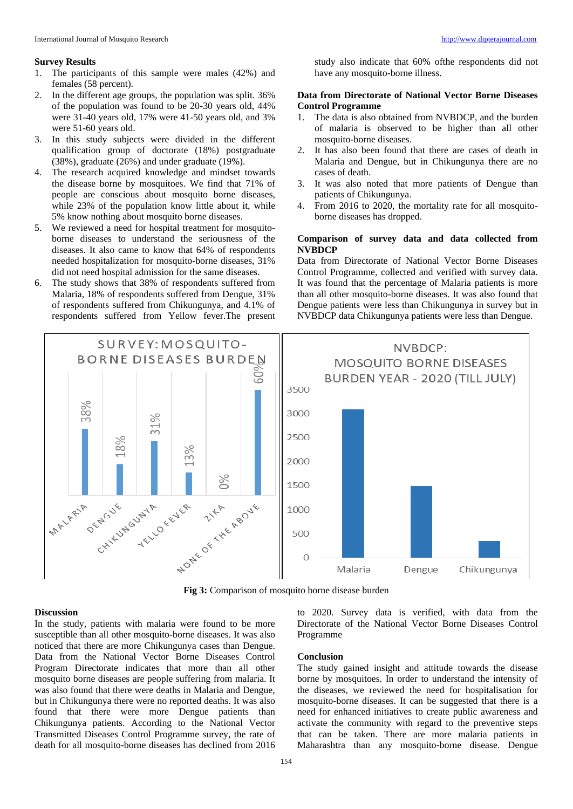#### **Survey Results**

- 1. The participants of this sample were males (42%) and females (58 percent).
- 2. In the different age groups, the population was split. 36% of the population was found to be 20-30 years old, 44% were 31-40 years old, 17% were 41-50 years old, and 3% were 51-60 years old.
- 3. In this study subjects were divided in the different qualification group of doctorate (18%) postgraduate (38%), graduate (26%) and under graduate (19%).
- 4. The research acquired knowledge and mindset towards the disease borne by mosquitoes. We find that 71% of people are conscious about mosquito borne diseases, while 23% of the population know little about it, while 5% know nothing about mosquito borne diseases.
- 5. We reviewed a need for hospital treatment for mosquitoborne diseases to understand the seriousness of the diseases. It also came to know that 64% of respondents needed hospitalization for mosquito-borne diseases, 31% did not need hospital admission for the same diseases.
- The study shows that 38% of respondents suffered from Malaria, 18% of respondents suffered from Dengue, 31% of respondents suffered from Chikungunya, and 4.1% of respondents suffered from Yellow fever.The present

study also indicate that 60% ofthe respondents did not have any mosquito-borne illness.

#### **Data from Directorate of National Vector Borne Diseases Control Programme**

- 1. The data is also obtained from NVBDCP, and the burden of malaria is observed to be higher than all other mosquito-borne diseases.
- 2. It has also been found that there are cases of death in Malaria and Dengue, but in Chikungunya there are no cases of death.
- 3. It was also noted that more patients of Dengue than patients of Chikungunya.
- 4. From 2016 to 2020, the mortality rate for all mosquitoborne diseases has dropped.

#### **Comparison of survey data and data collected from NVBDCP**

Data from Directorate of National Vector Borne Diseases Control Programme, collected and verified with survey data. It was found that the percentage of Malaria patients is more than all other mosquito-borne diseases. It was also found that Dengue patients were less than Chikungunya in survey but in NVBDCP data Chikungunya patients were less than Dengue.



**Fig 3:** Comparison of mosquito borne disease burden

#### **Discussion**

In the study, patients with malaria were found to be more susceptible than all other mosquito-borne diseases. It was also noticed that there are more Chikungunya cases than Dengue. Data from the National Vector Borne Diseases Control Program Directorate indicates that more than all other mosquito borne diseases are people suffering from malaria. It was also found that there were deaths in Malaria and Dengue, but in Chikungunya there were no reported deaths. It was also found that there were more Dengue patients than Chikungunya patients. According to the National Vector Transmitted Diseases Control Programme survey, the rate of death for all mosquito-borne diseases has declined from 2016

to 2020. Survey data is verified, with data from the Directorate of the National Vector Borne Diseases Control Programme

#### **Conclusion**

The study gained insight and attitude towards the disease borne by mosquitoes. In order to understand the intensity of the diseases, we reviewed the need for hospitalisation for mosquito-borne diseases. It can be suggested that there is a need for enhanced initiatives to create public awareness and activate the community with regard to the preventive steps that can be taken. There are more malaria patients in Maharashtra than any mosquito-borne disease. Dengue